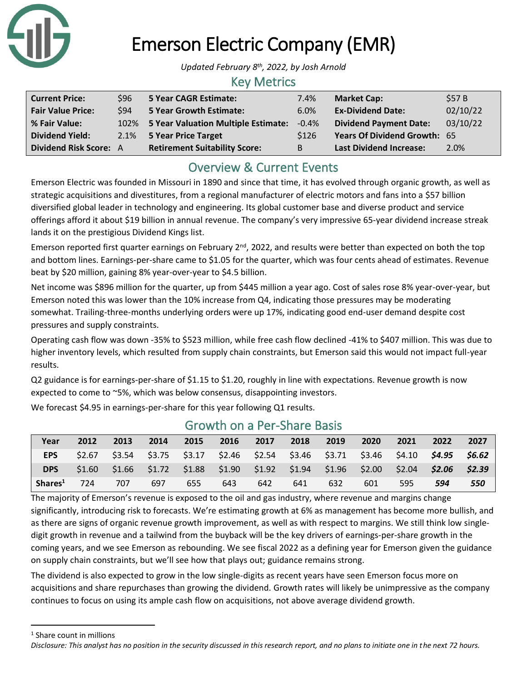

# Emerson Electric Company (EMR)

*Updated February 8 th, 2022, by Josh Arnold*

#### Key Metrics

| <b>Current Price:</b>         | \$96 | 5 Year CAGR Estimate:                    | 7.4%             | <b>Market Cap:</b>             | \$57 B   |
|-------------------------------|------|------------------------------------------|------------------|--------------------------------|----------|
| <b>Fair Value Price:</b>      | \$94 | 5 Year Growth Estimate:                  | 6.0%             | <b>Ex-Dividend Date:</b>       | 02/10/22 |
| % Fair Value:                 |      | 102% 5 Year Valuation Multiple Estimate: | $-0.4%$          | <b>Dividend Payment Date:</b>  | 03/10/22 |
| <b>Dividend Yield:</b>        |      | 2.1% 5 Year Price Target                 | S <sub>126</sub> | Years Of Dividend Growth: 65   |          |
| <b>Dividend Risk Score: A</b> |      | <b>Retirement Suitability Score:</b>     | B                | <b>Last Dividend Increase:</b> | 2.0%     |

# Overview & Current Events

Emerson Electric was founded in Missouri in 1890 and since that time, it has evolved through organic growth, as well as strategic acquisitions and divestitures, from a regional manufacturer of electric motors and fans into a \$57 billion diversified global leader in technology and engineering. Its global customer base and diverse product and service offerings afford it about \$19 billion in annual revenue. The company's very impressive 65-year dividend increase streak lands it on the prestigious Dividend Kings list.

Emerson reported first quarter earnings on February  $2^{nd}$ , 2022, and results were better than expected on both the top and bottom lines. Earnings-per-share came to \$1.05 for the quarter, which was four cents ahead of estimates. Revenue beat by \$20 million, gaining 8% year-over-year to \$4.5 billion.

Net income was \$896 million for the quarter, up from \$445 million a year ago. Cost of sales rose 8% year-over-year, but Emerson noted this was lower than the 10% increase from Q4, indicating those pressures may be moderating somewhat. Trailing-three-months underlying orders were up 17%, indicating good end-user demand despite cost pressures and supply constraints.

Operating cash flow was down -35% to \$523 million, while free cash flow declined -41% to \$407 million. This was due to higher inventory levels, which resulted from supply chain constraints, but Emerson said this would not impact full-year results.

Q2 guidance is for earnings-per-share of \$1.15 to \$1.20, roughly in line with expectations. Revenue growth is now expected to come to ~5%, which was below consensus, disappointing investors.

We forecast \$4.95 in earnings-per-share for this year following Q1 results.

| Year                | 2012   | 2013   | 2014 | 2015 | 2016 | 2017                                                    | 2018 | 2019 | 2020   | 2021   | 2022   | 2027   |
|---------------------|--------|--------|------|------|------|---------------------------------------------------------|------|------|--------|--------|--------|--------|
| <b>EPS</b>          | \$2.67 | \$3.54 |      |      |      | $$3.75$ $$3.17$ $$2.46$ $$2.54$ $$3.46$ $$3.71$ $$3.46$ |      |      |        | \$4.10 | \$4.95 | \$6.62 |
| <b>DPS</b>          | \$1.60 |        |      |      |      | $$1.66$ $$1.72$ $$1.88$ $$1.90$ $$1.92$ $$1.94$ $$1.96$ |      |      | \$2.00 | \$2.04 | \$2.06 | \$2.39 |
| Shares <sup>1</sup> | 724    | 707    | 697  | 655  | 643  | 642                                                     | 641  | 632  | 601    | 595    | 594    | 550    |

### Growth on a Per-Share Basis

The majority of Emerson's revenue is exposed to the oil and gas industry, where revenue and margins change significantly, introducing risk to forecasts. We're estimating growth at 6% as management has become more bullish, and as there are signs of organic revenue growth improvement, as well as with respect to margins. We still think low singledigit growth in revenue and a tailwind from the buyback will be the key drivers of earnings-per-share growth in the coming years, and we see Emerson as rebounding. We see fiscal 2022 as a defining year for Emerson given the guidance on supply chain constraints, but we'll see how that plays out; guidance remains strong.

The dividend is also expected to grow in the low single-digits as recent years have seen Emerson focus more on acquisitions and share repurchases than growing the dividend. Growth rates will likely be unimpressive as the company continues to focus on using its ample cash flow on acquisitions, not above average dividend growth.

<sup>1</sup> Share count in millions

*Disclosure: This analyst has no position in the security discussed in this research report, and no plans to initiate one in the next 72 hours.*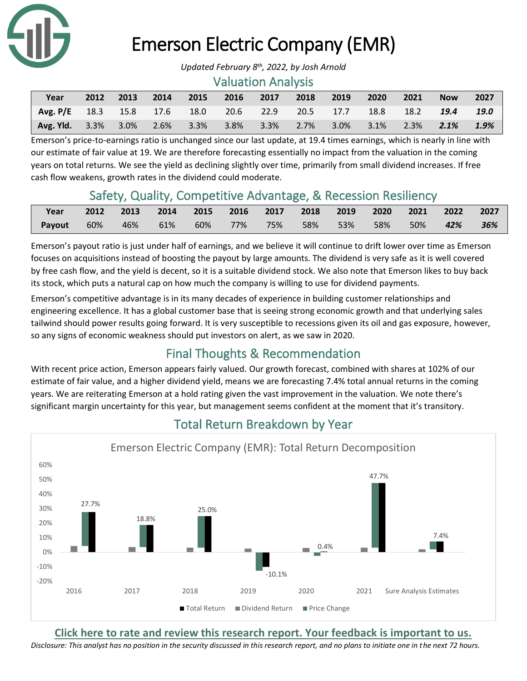

# Emerson Electric Company (EMR)

#### Valuation Analysis

| Year                                                                  |  | 2012 2013 2014 | 2015 2016 2017 2018 2019 |  | $\sqrt{2020}$ | 2021 | <b>Now</b> | 2027 |
|-----------------------------------------------------------------------|--|----------------|--------------------------|--|---------------|------|------------|------|
| Avg. P/E 18.3 15.8 17.6 18.0 20.6 22.9 20.5 17.7 18.8 18.2 19.4 19.0  |  |                |                          |  |               |      |            |      |
| Avg. Yld. 3.3% 3.0% 2.6% 3.3% 3.8% 3.3% 2.7% 3.0% 3.1% 2.3% 2.1% 1.9% |  |                |                          |  |               |      |            |      |

Emerson's price-to-earnings ratio is unchanged since our last update, at 19.4 times earnings, which is nearly in line with our estimate of fair value at 19. We are therefore forecasting essentially no impact from the valuation in the coming years on total returns. We see the yield as declining slightly over time, primarily from small dividend increases. If free cash flow weakens, growth rates in the dividend could moderate.

# Safety, Quality, Competitive Advantage, & Recession Resiliency

| Year          |     | 2012 2013 2014 2015 2016 2017 2018 2019 2020 2021 2022 2027 |  |  |  |                        |  |
|---------------|-----|-------------------------------------------------------------|--|--|--|------------------------|--|
| <b>Payout</b> | 60% | 46% 61% 60% 77% 75% 58% 53%                                 |  |  |  | 58% 50% <b>42% 36%</b> |  |

Emerson's payout ratio is just under half of earnings, and we believe it will continue to drift lower over time as Emerson focuses on acquisitions instead of boosting the payout by large amounts. The dividend is very safe as it is well covered by free cash flow, and the yield is decent, so it is a suitable dividend stock. We also note that Emerson likes to buy back its stock, which puts a natural cap on how much the company is willing to use for dividend payments.

Emerson's competitive advantage is in its many decades of experience in building customer relationships and engineering excellence. It has a global customer base that is seeing strong economic growth and that underlying sales tailwind should power results going forward. It is very susceptible to recessions given its oil and gas exposure, however, so any signs of economic weakness should put investors on alert, as we saw in 2020.

# Final Thoughts & Recommendation

With recent price action, Emerson appears fairly valued. Our growth forecast, combined with shares at 102% of our estimate of fair value, and a higher dividend yield, means we are forecasting 7.4% total annual returns in the coming years. We are reiterating Emerson at a hold rating given the vast improvement in the valuation. We note there's significant margin uncertainty for this year, but management seems confident at the moment that it's transitory.



# Total Return Breakdown by Year

**[Click here to rate and review this research report. Your feedback is important to us.](https://suredividend.typeform.com/to/e7Q96E)**

*Disclosure: This analyst has no position in the security discussed in this research report, and no plans to initiate one in the next 72 hours.*

*Updated February 8 th, 2022, by Josh Arnold*